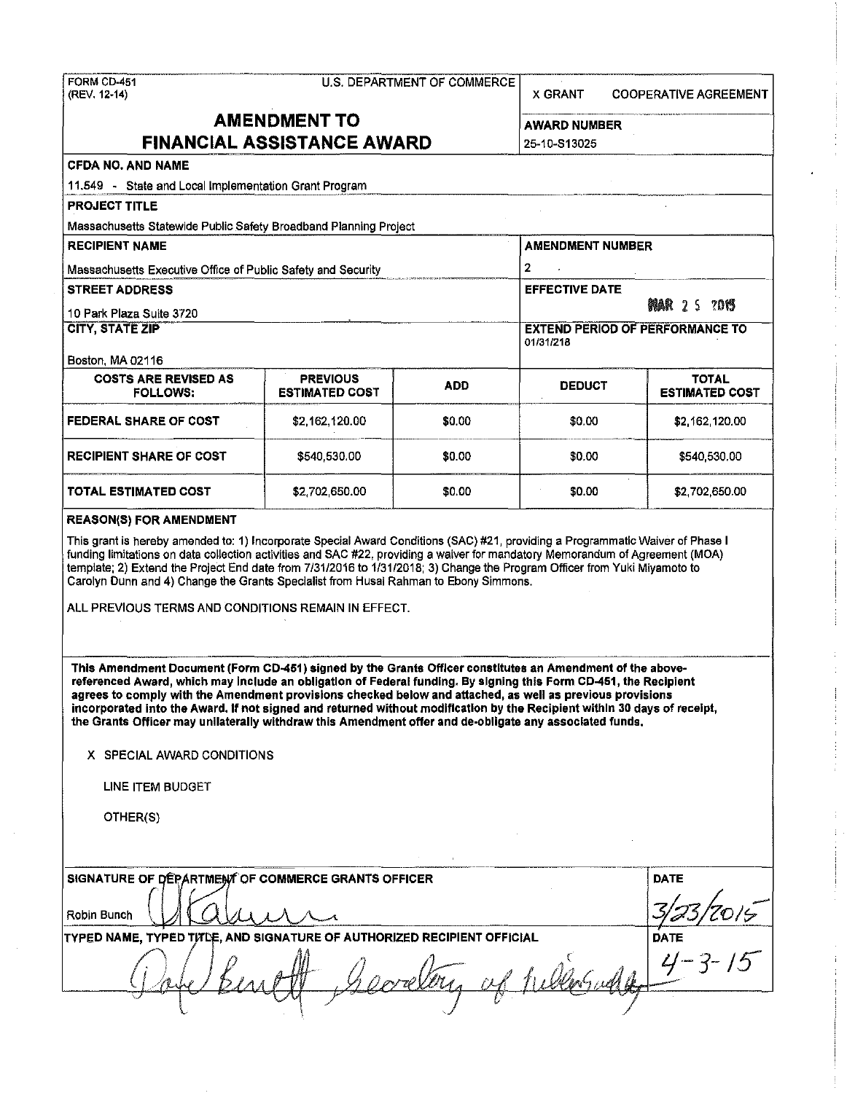FORM CD-451 U.S. DEPARTMENT OF COMMERCE (REV. 12-14) X GRANT COOPERATIVE AGREEMENT **AMENDMENT TO AWARD NUMBER FINANCIAL ASSISTANCE AWARD** 25-10·S13025 CFDA NO. AND NAME 11.549 - State and Local Implementation Grant Program PROJECT TITLE Massachusetts Statewide Public Safety Broadband Planning Project RECIPIENT NAME ALL AND THE RECIPIENT NUMBER AND THE RECIPIENT NUMBER Massachusetts Executive Office of Public Safety and Security  $\vert 2 \vert$ ~-~-~-----·---~-.-· . ----·-------. STREET ADDRESS EFFECTIVE DATE: 10 Park Plaza Suite 3720<br> **10 Park Plaza Suite 3720**<br>
CITY, STATE ZIP **EXTEND PERIOD OF PERFORMANCE TO** 011311218 Boston, MA 02116 COSTS ARE REVISED AS  $\begin{matrix} \end{matrix}$  PREVIOUS  $\begin{matrix} \end{matrix}$  ADD  $\begin{matrix} \end{matrix}$  DEDUCT  $\begin{matrix} \end{matrix}$  ESTIMATED **FEDERAL SHARE OF COST**  \$2,162,120.00 \$0.00 \$0.00 \$0.00 \$2,162,120.00 ------- --------- ---~ RECIPIENT SHARE OF COST \$540,530.00 \$0.00 \$0.00 \$540,530.00 **TOTAL ESTIMATED COST**  \$2,702,650.00 \$0.00 \$0.00 \$0.00 \$2,702,650.00 REASON(S) FOR AMENDMENT This grant is hereby amended to: 1) Incorporate Special Award Conditions (SAC) #21, providing a Programmatic Waiver of Phase I funding limitations on data collection activities and SAC #22, providing a waiver for mandatory Memorandum of Agreement (MOA) template; 2) Extend the Project End date from 7/31/2016 to 1/3112018; 3) Change the Program Officer from Yuki Miyamoto to Carolyn Dunn and 4) Change the Grants Specialist from Husai Rahman to Ebony Simmons. ALL PREVIOUS TERMS AND CONDITIONS REMAIN IN EFFECT. This Amendment Document (Form CD-451) signed by the Grants Officer constitutes an Amendment of the above· referenced Award, which may Include an obligation of Federal funding. By signing this Form CD-451, the Recipient **agrees to comply with the Amendment provisions checked below and attached, as well as previous provisions**  incorporated Into the Award. If not signed and returned without modification by the Recipient within 30 days of receipt, the Grants Officer may unilaterally withdraw this Amendment offer and de-obligate any associated funds, X SPECIAL AWARD CONDITIONS

**ESTIMATED COST** 

LINE ITEM BUDGET

OTHER(S)

| SIGNATURE OF DEPARTMENT OF COMMERCE GRANTS OFFICER                             | <b>DATE</b> |
|--------------------------------------------------------------------------------|-------------|
| Robin Bunch                                                                    |             |
| <b>TYPED NAME, TYPED TITLE, AND SIGNATURE OF AUTHORIZED RECIPIENT OFFICIAL</b> | <b>DATE</b> |
|                                                                                |             |
|                                                                                |             |